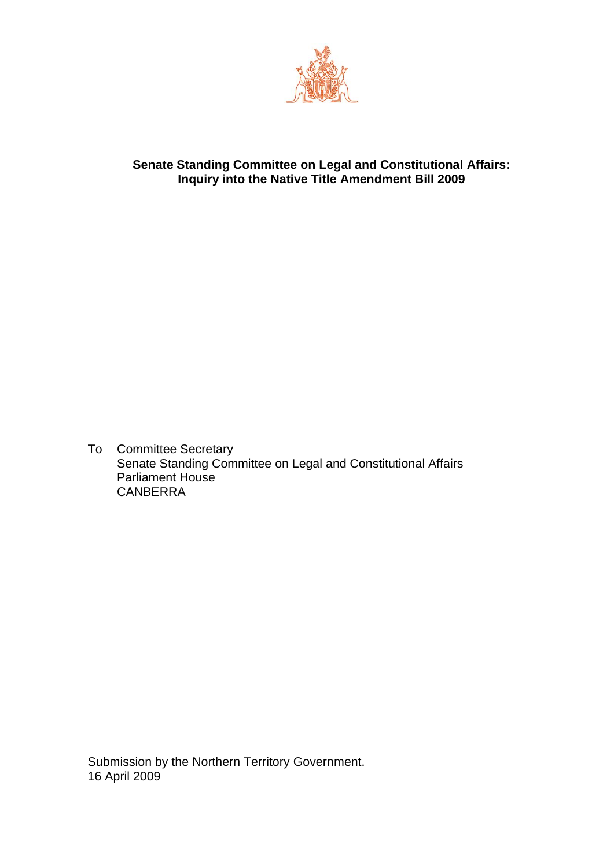

# **Senate Standing Committee on Legal and Constitutional Affairs: Inquiry into the Native Title Amendment Bill 2009**

To Committee Secretary Senate Standing Committee on Legal and Constitutional Affairs Parliament House CANBERRA

Submission by the Northern Territory Government. 16 April 2009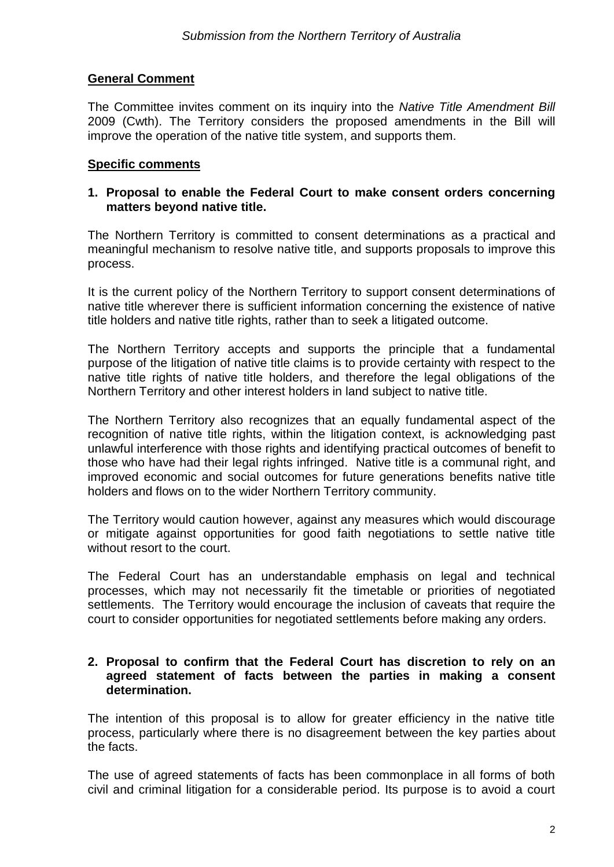# **General Comment**

The Committee invites comment on its inquiry into the *Native Title Amendment Bill*  2009 (Cwth). The Territory considers the proposed amendments in the Bill will improve the operation of the native title system, and supports them.

#### **Specific comments**

### **1. Proposal to enable the Federal Court to make consent orders concerning matters beyond native title.**

The Northern Territory is committed to consent determinations as a practical and meaningful mechanism to resolve native title, and supports proposals to improve this process.

It is the current policy of the Northern Territory to support consent determinations of native title wherever there is sufficient information concerning the existence of native title holders and native title rights, rather than to seek a litigated outcome.

The Northern Territory accepts and supports the principle that a fundamental purpose of the litigation of native title claims is to provide certainty with respect to the native title rights of native title holders, and therefore the legal obligations of the Northern Territory and other interest holders in land subject to native title.

The Northern Territory also recognizes that an equally fundamental aspect of the recognition of native title rights, within the litigation context, is acknowledging past unlawful interference with those rights and identifying practical outcomes of benefit to those who have had their legal rights infringed. Native title is a communal right, and improved economic and social outcomes for future generations benefits native title holders and flows on to the wider Northern Territory community.

The Territory would caution however, against any measures which would discourage or mitigate against opportunities for good faith negotiations to settle native title without resort to the court.

The Federal Court has an understandable emphasis on legal and technical processes, which may not necessarily fit the timetable or priorities of negotiated settlements. The Territory would encourage the inclusion of caveats that require the court to consider opportunities for negotiated settlements before making any orders.

#### **2. Proposal to confirm that the Federal Court has discretion to rely on an agreed statement of facts between the parties in making a consent determination.**

The intention of this proposal is to allow for greater efficiency in the native title process, particularly where there is no disagreement between the key parties about the facts.

The use of agreed statements of facts has been commonplace in all forms of both civil and criminal litigation for a considerable period. Its purpose is to avoid a court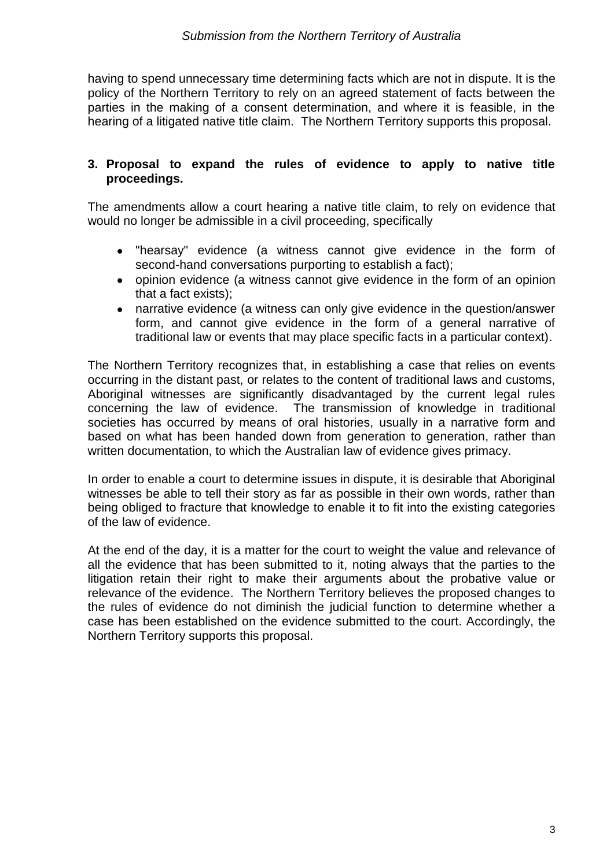having to spend unnecessary time determining facts which are not in dispute. It is the policy of the Northern Territory to rely on an agreed statement of facts between the parties in the making of a consent determination, and where it is feasible, in the hearing of a litigated native title claim. The Northern Territory supports this proposal.

### **3. Proposal to expand the rules of evidence to apply to native title proceedings.**

The amendments allow a court hearing a native title claim, to rely on evidence that would no longer be admissible in a civil proceeding, specifically

- "hearsay" evidence (a witness cannot give evidence in the form of  $\bullet$ second-hand conversations purporting to establish a fact);
- opinion evidence (a witness cannot give evidence in the form of an opinion that a fact exists);
- narrative evidence (a witness can only give evidence in the question/answer form, and cannot give evidence in the form of a general narrative of traditional law or events that may place specific facts in a particular context).

The Northern Territory recognizes that, in establishing a case that relies on events occurring in the distant past, or relates to the content of traditional laws and customs, Aboriginal witnesses are significantly disadvantaged by the current legal rules concerning the law of evidence. The transmission of knowledge in traditional societies has occurred by means of oral histories, usually in a narrative form and based on what has been handed down from generation to generation, rather than written documentation, to which the Australian law of evidence gives primacy.

In order to enable a court to determine issues in dispute, it is desirable that Aboriginal witnesses be able to tell their story as far as possible in their own words, rather than being obliged to fracture that knowledge to enable it to fit into the existing categories of the law of evidence.

At the end of the day, it is a matter for the court to weight the value and relevance of all the evidence that has been submitted to it, noting always that the parties to the litigation retain their right to make their arguments about the probative value or relevance of the evidence. The Northern Territory believes the proposed changes to the rules of evidence do not diminish the judicial function to determine whether a case has been established on the evidence submitted to the court. Accordingly, the Northern Territory supports this proposal.